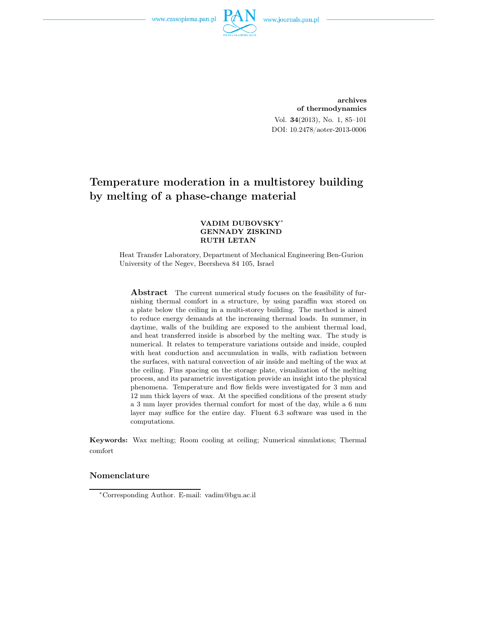

archives of thermodynamics Vol. 34(2013), No. 1, 85–101 DOI: 10.2478/aoter-2013-0006

# Temperature moderation in a multistorey building by melting of a phase-change material

#### VADIM DUBOVSKY<sup>∗</sup> GENNADY ZISKIND RUTH LETAN

Heat Transfer Laboratory, Department of Mechanical Engineering Ben-Gurion University of the Negev, Beersheva 84 105, Israel

**Abstract** The current numerical study focuses on the feasibility of furnishing thermal comfort in a structure, by using paraffin wax stored on a plate below the ceiling in a multi-storey building. The method is aimed to reduce energy demands at the increasing thermal loads. In summer, in daytime, walls of the building are exposed to the ambient thermal load, and heat transferred inside is absorbed by the melting wax. The study is numerical. It relates to temperature variations outside and inside, coupled with heat conduction and accumulation in walls, with radiation between the surfaces, with natural convection of air inside and melting of the wax at the ceiling. Fins spacing on the storage plate, visualization of the melting process, and its parametric investigation provide an insight into the physical phenomena. Temperature and flow fields were investigated for 3 mm and 12 mm thick layers of wax. At the specified conditions of the present study a 3 mm layer provides thermal comfort for most of the day, while a 6 mm layer may suffice for the entire day. Fluent 6.3 software was used in the computations.

Keywords: Wax melting; Room cooling at ceiling; Numerical simulations; Thermal comfort

#### Nomenclature

<sup>∗</sup>Corresponding Author. E-mail: vadim@bgu.ac.il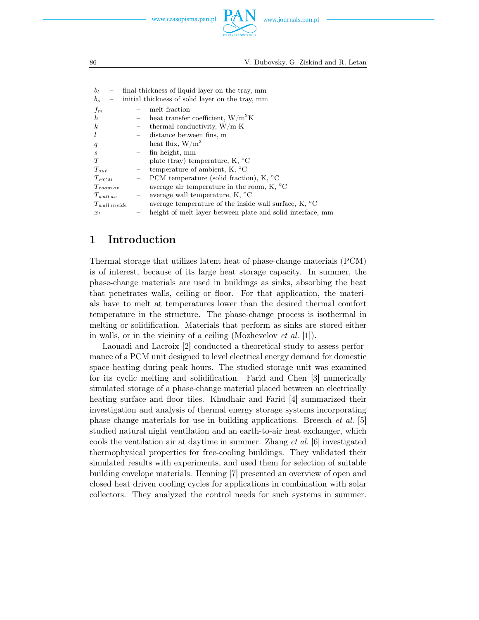



| $b_l$                       | final thickness of liquid layer on the tray, mm                                               |                                                            |
|-----------------------------|-----------------------------------------------------------------------------------------------|------------------------------------------------------------|
| $b_s$                       | initial thickness of solid layer on the tray, mm                                              |                                                            |
| $f_m$                       | melt fraction                                                                                 |                                                            |
| h.                          | heat transfer coefficient, $W/m^2K$                                                           |                                                            |
| $\boldsymbol{k}$            | - thermal conductivity, $W/m K$                                                               |                                                            |
|                             | distance between fins, m<br>$\qquad$                                                          |                                                            |
| q                           | - heat flux, $W/m^2$                                                                          |                                                            |
| $\mathcal{S}_{\mathcal{S}}$ | fin height, mm                                                                                |                                                            |
| T                           | plate (tray) temperature, K, $^{\circ}$ C                                                     |                                                            |
| $T_{out}$                   | temperature of ambient, K, $^{\circ}$ C<br>$\hspace{0.1mm}-$                                  |                                                            |
| $T_{PCM}$                   | PCM temperature (solid fraction), $K$ , $^{\circ}C$<br>$\equiv$ .                             |                                                            |
| $T_{room\,av}$              | average air temperature in the room, $K$ , $^{\circ}C$<br>$\overline{\phantom{m}}$            |                                                            |
| $T_{wall\,av}$              | average wall temperature, $K$ , $^{\circ}C$<br>$\equiv$ .                                     |                                                            |
| $T_{wall\ inside}$          | average temperature of the inside wall surface, $K$ , $^{\circ}C$<br>$\overline{\phantom{0}}$ |                                                            |
| $x_l$                       |                                                                                               | height of melt layer between plate and solid interface, mm |
|                             |                                                                                               |                                                            |

## 1 Introduction

Thermal storage that utilizes latent heat of phase-change materials (PCM) is of interest, because of its large heat storage capacity. In summer, the phase-change materials are used in buildings as sinks, absorbing the heat that penetrates walls, ceiling or floor. For that application, the materials have to melt at temperatures lower than the desired thermal comfort temperature in the structure. The phase-change process is isothermal in melting or solidification. Materials that perform as sinks are stored either in walls, or in the vicinity of a ceiling (Mozhevelov *et al.* [1]).

Laouadi and Lacroix [2] conducted a theoretical study to assess performance of a PCM unit designed to level electrical energy demand for domestic space heating during peak hours. The studied storage unit was examined for its cyclic melting and solidification. Farid and Chen [3] numerically simulated storage of a phase-change material placed between an electrically heating surface and floor tiles. Khudhair and Farid [4] summarized their investigation and analysis of thermal energy storage systems incorporating phase change materials for use in building applications. Breesch *et al.* [5] studied natural night ventilation and an earth-to-air heat exchanger, which cools the ventilation air at daytime in summer. Zhang *et al.* [6] investigated thermophysical properties for free-cooling buildings. They validated their simulated results with experiments, and used them for selection of suitable building envelope materials. Henning [7] presented an overview of open and closed heat driven cooling cycles for applications in combination with solar collectors. They analyzed the control needs for such systems in summer.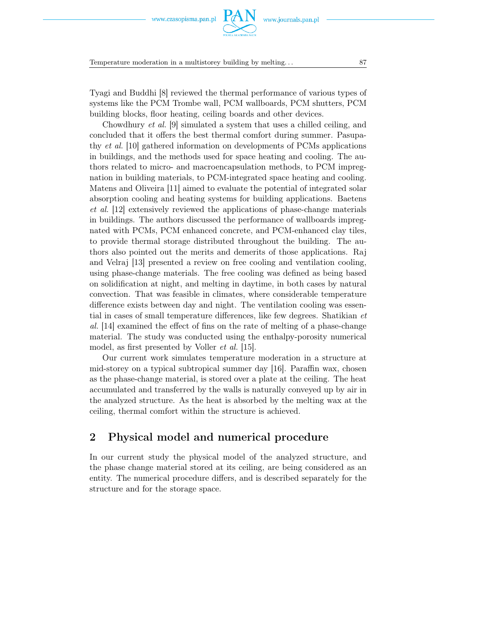Temperature moderation in a multistorey building by melting... 87

Tyagi and Buddhi [8] reviewed the thermal performance of various types of systems like the PCM Trombe wall, PCM wallboards, PCM shutters, PCM building blocks, floor heating, ceiling boards and other devices.

Chowdhury *et al.* [9] simulated a system that uses a chilled ceiling, and concluded that it offers the best thermal comfort during summer. Pasupathy *et al.* [10] gathered information on developments of PCMs applications in buildings, and the methods used for space heating and cooling. The authors related to micro- and macroencapsulation methods, to PCM impregnation in building materials, to PCM-integrated space heating and cooling. Matens and Oliveira [11] aimed to evaluate the potential of integrated solar absorption cooling and heating systems for building applications. Baetens *et al.* [12] extensively reviewed the applications of phase-change materials in buildings. The authors discussed the performance of wallboards impregnated with PCMs, PCM enhanced concrete, and PCM-enhanced clay tiles, to provide thermal storage distributed throughout the building. The authors also pointed out the merits and demerits of those applications. Raj and Velraj [13] presented a review on free cooling and ventilation cooling, using phase-change materials. The free cooling was defined as being based on solidification at night, and melting in daytime, in both cases by natural convection. That was feasible in climates, where considerable temperature difference exists between day and night. The ventilation cooling was essential in cases of small temperature differences, like few degrees. Shatikian *et al.* [14] examined the effect of fins on the rate of melting of a phase-change material. The study was conducted using the enthalpy-porosity numerical model, as first presented by Voller *et al.* [15].

Our current work simulates temperature moderation in a structure at mid-storey on a typical subtropical summer day [16]. Paraffin wax, chosen as the phase-change material, is stored over a plate at the ceiling. The heat accumulated and transferred by the walls is naturally conveyed up by air in the analyzed structure. As the heat is absorbed by the melting wax at the ceiling, thermal comfort within the structure is achieved.

## 2 Physical model and numerical procedure

In our current study the physical model of the analyzed structure, and the phase change material stored at its ceiling, are being considered as an entity. The numerical procedure differs, and is described separately for the structure and for the storage space.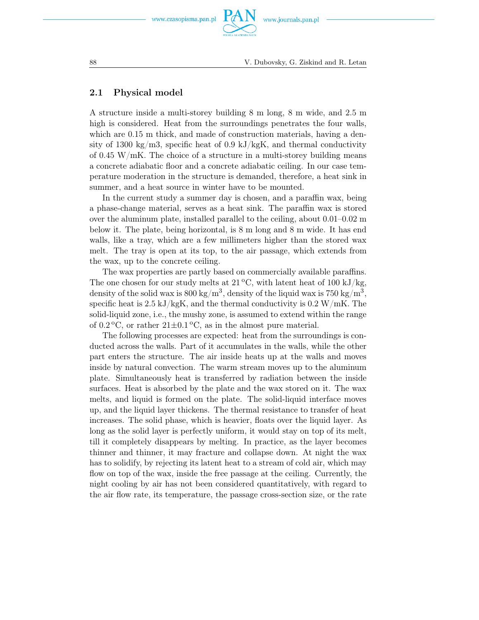

### 2.1 Physical model

A structure inside a multi-storey building 8 m long, 8 m wide, and 2.5 m high is considered. Heat from the surroundings penetrates the four walls, which are  $0.15$  m thick, and made of construction materials, having a density of 1300 kg/m3, specific heat of 0.9 kJ/kgK, and thermal conductivity of 0.45 W/mK. The choice of a structure in a multi-storey building means a concrete adiabatic floor and a concrete adiabatic ceiling. In our case temperature moderation in the structure is demanded, therefore, a heat sink in summer, and a heat source in winter have to be mounted.

In the current study a summer day is chosen, and a paraffin wax, being a phase-change material, serves as a heat sink. The paraffin wax is stored over the aluminum plate, installed parallel to the ceiling, about 0.01–0.02 m below it. The plate, being horizontal, is 8 m long and 8 m wide. It has end walls, like a tray, which are a few millimeters higher than the stored wax melt. The tray is open at its top, to the air passage, which extends from the wax, up to the concrete ceiling.

The wax properties are partly based on commercially available paraffins. The one chosen for our study melts at  $21^{\circ}$ C, with latent heat of 100 kJ/kg, density of the solid wax is 800 kg/m<sup>3</sup>, density of the liquid wax is 750 kg/m<sup>3</sup>, specific heat is  $2.5 \text{ kJ/kgK}$ , and the thermal conductivity is  $0.2 \text{ W/mK}$ . The solid-liquid zone, i.e., the mushy zone, is assumed to extend within the range of  $0.2\degree C$ , or rather  $21\pm0.1\degree C$ , as in the almost pure material.

The following processes are expected: heat from the surroundings is conducted across the walls. Part of it accumulates in the walls, while the other part enters the structure. The air inside heats up at the walls and moves inside by natural convection. The warm stream moves up to the aluminum plate. Simultaneously heat is transferred by radiation between the inside surfaces. Heat is absorbed by the plate and the wax stored on it. The wax melts, and liquid is formed on the plate. The solid-liquid interface moves up, and the liquid layer thickens. The thermal resistance to transfer of heat increases. The solid phase, which is heavier, floats over the liquid layer. As long as the solid layer is perfectly uniform, it would stay on top of its melt, till it completely disappears by melting. In practice, as the layer becomes thinner and thinner, it may fracture and collapse down. At night the wax has to solidify, by rejecting its latent heat to a stream of cold air, which may flow on top of the wax, inside the free passage at the ceiling. Currently, the night cooling by air has not been considered quantitatively, with regard to the air flow rate, its temperature, the passage cross-section size, or the rate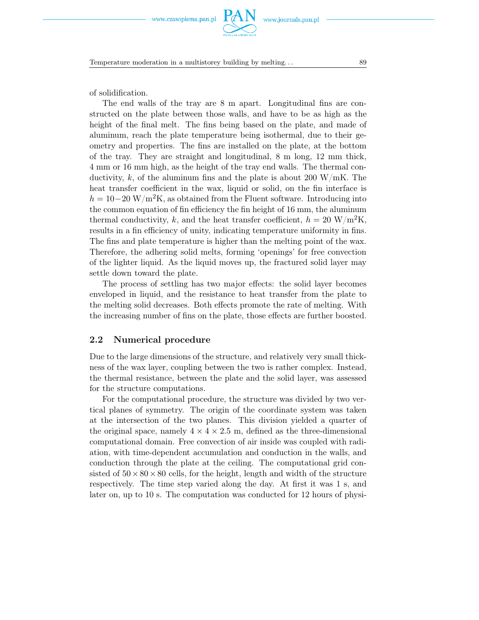Temperature moderation in a multistorey building by melting... 89

of solidification.

The end walls of the tray are 8 m apart. Longitudinal fins are constructed on the plate between those walls, and have to be as high as the height of the final melt. The fins being based on the plate, and made of aluminum, reach the plate temperature being isothermal, due to their geometry and properties. The fins are installed on the plate, at the bottom of the tray. They are straight and longitudinal, 8 m long, 12 mm thick, 4 mm or 16 mm high, as the height of the tray end walls. The thermal conductivity, k, of the aluminum fins and the plate is about 200 W/mK. The heat transfer coefficient in the wax, liquid or solid, on the fin interface is <sup>h</sup> = 10*−*<sup>20</sup> W/m2K, as obtained from the Fluent software. Introducing into the common equation of fin efficiency the fin height of 16 mm, the aluminum thermal conductivity, k, and the heat transfer coefficient,  $h = 20 \text{ W/m}^2\text{K}$ , results in a fin efficiency of unity, indicating temperature uniformity in fins. The fins and plate temperature is higher than the melting point of the wax. Therefore, the adhering solid melts, forming 'openings' for free convection of the lighter liquid. As the liquid moves up, the fractured solid layer may settle down toward the plate.

The process of settling has two major effects: the solid layer becomes enveloped in liquid, and the resistance to heat transfer from the plate to the melting solid decreases. Both effects promote the rate of melting. With the increasing number of fins on the plate, those effects are further boosted.

### 2.2 Numerical procedure

Due to the large dimensions of the structure, and relatively very small thickness of the wax layer, coupling between the two is rather complex. Instead, the thermal resistance, between the plate and the solid layer, was assessed for the structure computations.

For the computational procedure, the structure was divided by two vertical planes of symmetry. The origin of the coordinate system was taken at the intersection of the two planes. This division yielded a quarter of the original space, namely  $4 \times 4 \times 2.5$  m, defined as the three-dimensional computational domain. Free convection of air inside was coupled with radiation, with time-dependent accumulation and conduction in the walls, and conduction through the plate at the ceiling. The computational grid consisted of  $50 \times 80 \times 80$  cells, for the height, length and width of the structure respectively. The time step varied along the day. At first it was 1 s, and later on, up to 10 s. The computation was conducted for 12 hours of physi-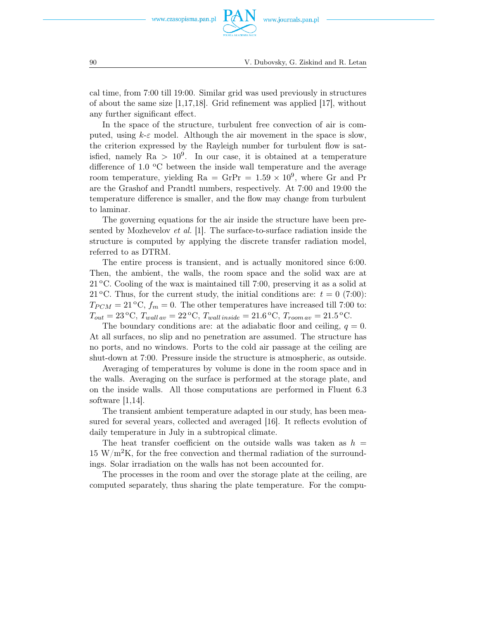cal time, from 7:00 till 19:00. Similar grid was used previously in structures of about the same size  $|1,17,18|$ . Grid refinement was applied  $|17|$ , without any further significant effect.

In the space of the structure, turbulent free convection of air is computed, using  $k \in \mathcal{E}$  model. Although the air movement in the space is slow, the criterion expressed by the Rayleigh number for turbulent flow is satisfied, namely  $Ra > 10^9$ . In our case, it is obtained at a temperature difference of 1.0  $\rm{^{\circ}C}$  between the inside wall temperature and the average room temperature, yielding  $Ra = GrPr = 1.59 \times 10^9$ , where Gr and Pr are the Grashof and Prandtl numbers, respectively. At 7:00 and 19:00 the temperature difference is smaller, and the flow may change from turbulent to laminar.

The governing equations for the air inside the structure have been presented by Mozhevelov *et al.* [1]. The surface-to-surface radiation inside the structure is computed by applying the discrete transfer radiation model, referred to as DTRM.

The entire process is transient, and is actually monitored since 6:00. Then, the ambient, the walls, the room space and the solid wax are at  $21^{\circ}$ C. Cooling of the wax is maintained till 7:00, preserving it as a solid at 21 °C. Thus, for the current study, the initial conditions are:  $t = 0$  (7:00):  $T_{PCM} = 21 \degree C$ ,  $f_m = 0$ . The other temperatures have increased till 7:00 to:  $T_{out} = 23 \text{°C}, T_{wall\,av} = 22 \text{°C}, T_{wall\,inside} = 21.6 \text{°C}, T_{room\,av} = 21.5 \text{°C}.$ 

The boundary conditions are: at the adiabatic floor and ceiling,  $q = 0$ . At all surfaces, no slip and no penetration are assumed. The structure has no ports, and no windows. Ports to the cold air passage at the ceiling are shut-down at 7:00. Pressure inside the structure is atmospheric, as outside.

Averaging of temperatures by volume is done in the room space and in the walls. Averaging on the surface is performed at the storage plate, and on the inside walls. All those computations are performed in Fluent 6.3 software  $|1,14|$ .

The transient ambient temperature adapted in our study, has been measured for several years, collected and averaged [16]. It reflects evolution of daily temperature in July in a subtropical climate.

The heat transfer coefficient on the outside walls was taken as  $h =$  $15 \text{ W/m}^2\text{K}$ , for the free convection and thermal radiation of the surroundings. Solar irradiation on the walls has not been accounted for.

The processes in the room and over the storage plate at the ceiling, are computed separately, thus sharing the plate temperature. For the compu-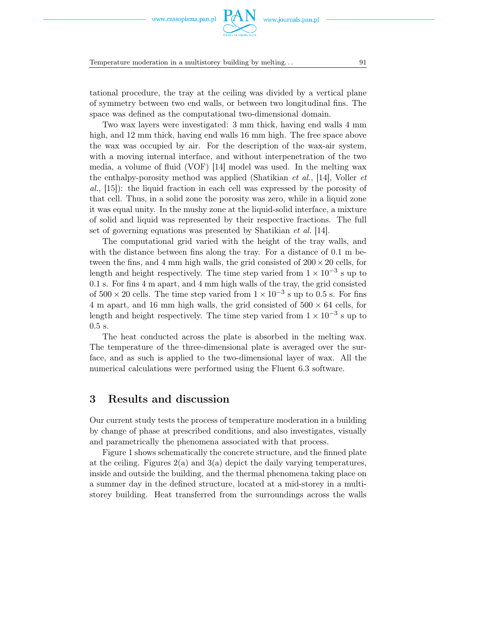Temperature moderation in a multistorey building by melting. . . 91

tational procedure, the tray at the ceiling was divided by a vertical plane of symmetry between two end walls, or between two longitudinal fins. The space was defined as the computational two-dimensional domain.

Two wax layers were investigated: 3 mm thick, having end walls 4 mm high, and 12 mm thick, having end walls 16 mm high. The free space above the wax was occupied by air. For the description of the wax-air system, with a moving internal interface, and without interpenetration of the two media, a volume of fluid (VOF) [14] model was used. In the melting wax the enthalpy-porosity method was applied (Shatikian *et al.*, [14], Voller *et al.*, [15]): the liquid fraction in each cell was expressed by the porosity of that cell. Thus, in a solid zone the porosity was zero, while in a liquid zone it was equal unity. In the mushy zone at the liquid-solid interface, a mixture of solid and liquid was represented by their respective fractions. The full set of governing equations was presented by Shatikian *et al.* [14].

The computational grid varied with the height of the tray walls, and with the distance between fins along the tray. For a distance of 0.1 m between the fins, and 4 mm high walls, the grid consisted of 200*×*20 cells, for length and height respectively. The time step varied from  $1 \times 10^{-3}$  s up to 0.1 s. For fins 4 m apart, and 4 mm high walls of the tray, the grid consisted of  $500 \times 20$  cells. The time step varied from  $1 \times 10^{-3}$  s up to 0.5 s. For fins 4 m apart, and 16 mm high walls, the grid consisted of 500 *×* 64 cells, for length and height respectively. The time step varied from  $1 \times 10^{-3}$  s up to 0.5 s.

The heat conducted across the plate is absorbed in the melting wax. The temperature of the three-dimensional plate is averaged over the surface, and as such is applied to the two-dimensional layer of wax. All the numerical calculations were performed using the Fluent 6.3 software.

### 3 Results and discussion

Our current study tests the process of temperature moderation in a building by change of phase at prescribed conditions, and also investigates, visually and parametrically the phenomena associated with that process.

Figure 1 shows schematically the concrete structure, and the finned plate at the ceiling. Figures  $2(a)$  and  $3(a)$  depict the daily varying temperatures, inside and outside the building, and the thermal phenomena taking place on a summer day in the defined structure, located at a mid-storey in a multistorey building. Heat transferred from the surroundings across the walls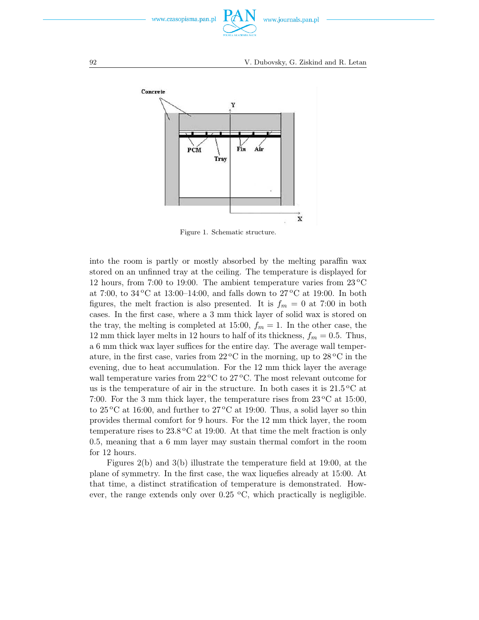



Figure 1. Schematic structure.

into the room is partly or mostly absorbed by the melting paraffin wax stored on an unfinned tray at the ceiling. The temperature is displayed for 12 hours, from 7:00 to 19:00. The ambient temperature varies from  $23^{\circ}$ C at 7:00, to 34 °C at 13:00–14:00, and falls down to 27 °C at 19:00. In both figures, the melt fraction is also presented. It is  $f_m = 0$  at 7:00 in both cases. In the first case, where a 3 mm thick layer of solid wax is stored on the tray, the melting is completed at 15:00,  $f_m = 1$ . In the other case, the 12 mm thick layer melts in 12 hours to half of its thickness,  $f_m = 0.5$ . Thus, a 6 mm thick wax layer suffices for the entire day. The average wall temperature, in the first case, varies from  $22\degree C$  in the morning, up to  $28\degree C$  in the evening, due to heat accumulation. For the 12 mm thick layer the average wall temperature varies from  $22^{\circ}$ C to  $27^{\circ}$ C. The most relevant outcome for us is the temperature of air in the structure. In both cases it is  $21.5\,^{\circ}\text{C}$  at 7:00. For the 3 mm thick layer, the temperature rises from  $23^{\circ}$ C at 15:00, to  $25^{\circ}$ C at 16:00, and further to  $27^{\circ}$ C at 19:00. Thus, a solid layer so thin provides thermal comfort for 9 hours. For the 12 mm thick layer, the room temperature rises to  $23.8\,^{\circ}\text{C}$  at 19:00. At that time the melt fraction is only 0.5, meaning that a 6 mm layer may sustain thermal comfort in the room for 12 hours.

Figures 2(b) and 3(b) illustrate the temperature field at 19:00, at the plane of symmetry. In the first case, the wax liquefies already at 15:00. At that time, a distinct stratification of temperature is demonstrated. However, the range extends only over  $0.25 \text{ °C}$ , which practically is negligible.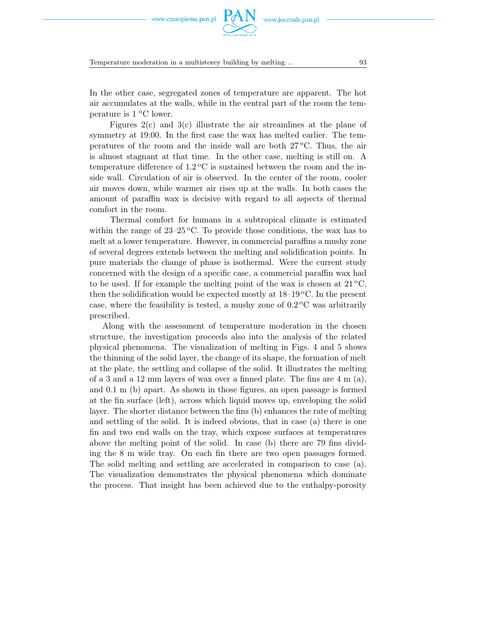Temperature moderation in a multistorey building by melting... 93

In the other case, segregated zones of temperature are apparent. The hot air accumulates at the walls, while in the central part of the room the temperature is  $1^{\circ}$ C lower.

Figures  $2(c)$  and  $3(c)$  illustrate the air streamlines at the plane of symmetry at 19:00. In the first case the wax has melted earlier. The temperatures of the room and the inside wall are both  $27^{\circ}$ C. Thus, the air is almost stagnant at that time. In the other case, melting is still on. A temperature difference of  $1.2\,^{\circ}\text{C}$  is sustained between the room and the inside wall. Circulation of air is observed. In the center of the room, cooler air moves down, while warmer air rises up at the walls. In both cases the amount of paraffin wax is decisive with regard to all aspects of thermal comfort in the room.

Thermal comfort for humans in a subtropical climate is estimated within the range of  $23-25$  °C. To provide those conditions, the wax has to melt at a lower temperature. However, in commercial paraffins a mushy zone of several degrees extends between the melting and solidification points. In pure materials the change of phase is isothermal. Were the current study concerned with the design of a specific case, a commercial paraffin wax had to be used. If for example the melting point of the wax is chosen at  $21^{\circ}$ C, then the solidification would be expected mostly at  $18-19\degree C$ . In the present case, where the feasibility is tested, a mushy zone of  $0.2\degree$ C was arbitrarily prescribed.

Along with the assessment of temperature moderation in the chosen structure, the investigation proceeds also into the analysis of the related physical phenomena. The visualization of melting in Figs. 4 and 5 shows the thinning of the solid layer, the change of its shape, the formation of melt at the plate, the settling and collapse of the solid. It illustrates the melting of a 3 and a 12 mm layers of wax over a finned plate. The fins are  $4 \text{ m } (a)$ , and 0.1 m (b) apart. As shown in those figures, an open passage is formed at the fin surface (left), across which liquid moves up, enveloping the solid layer. The shorter distance between the fins (b) enhances the rate of melting and settling of the solid. It is indeed obvious, that in case (a) there is one fin and two end walls on the tray, which expose surfaces at temperatures above the melting point of the solid. In case (b) there are 79 fins dividing the 8 m wide tray. On each fin there are two open passages formed. The solid melting and settling are accelerated in comparison to case (a). The visualization demonstrates the physical phenomena which dominate the process. That insight has been achieved due to the enthalpy-porosity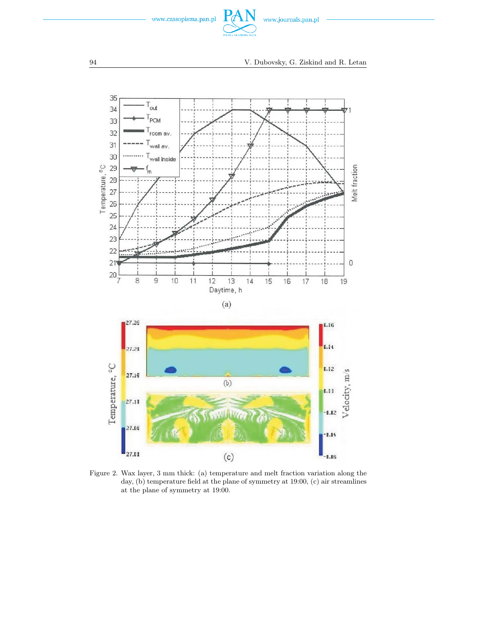



Figure 2. Wax layer, 3 mm thick: (a) temperature and melt fraction variation along the day, (b) temperature field at the plane of symmetry at 19:00, (c) air streamlines at the plane of symmetry at 19:00.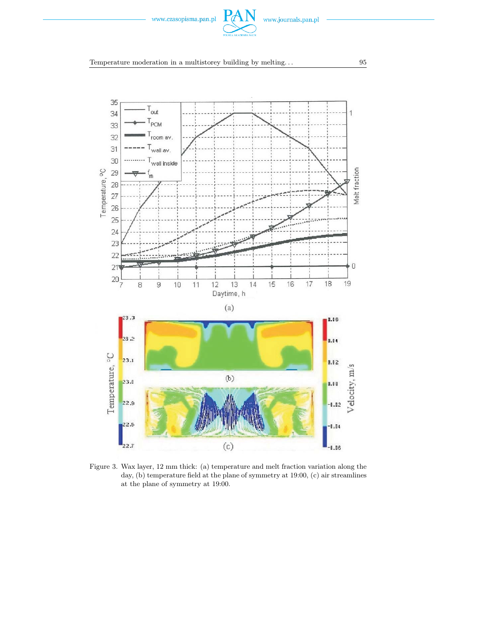

Temperature moderation in a multistorey building by melting. . . 95



Figure 3. Wax layer, 12 mm thick: (a) temperature and melt fraction variation along the day, (b) temperature field at the plane of symmetry at 19:00, (c) air streamlines at the plane of symmetry at 19:00.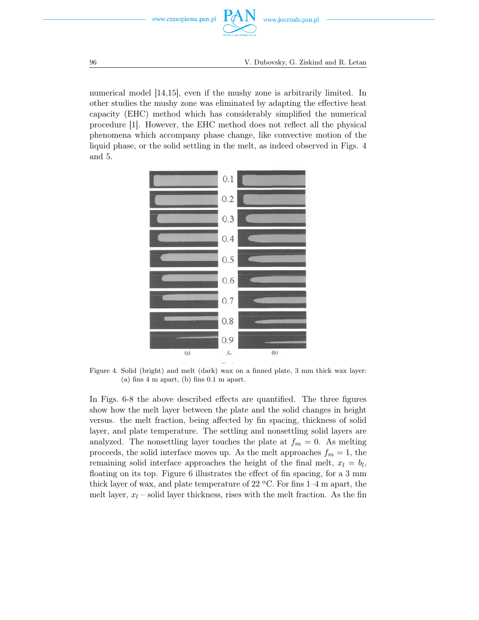

numerical model [14,15], even if the mushy zone is arbitrarily limited. In other studies the mushy zone was eliminated by adapting the effective heat capacity (EHC) method which has considerably simplified the numerical procedure [1]. However, the EHC method does not reflect all the physical phenomena which accompany phase change, like convective motion of the liquid phase, or the solid settling in the melt, as indeed observed in Figs. 4 and 5.



Figure 4. Solid (bright) and melt (dark) wax on a finned plate, 3 mm thick wax layer: (a) fins 4 m apart, (b) fins 0.1 m apart.

In Figs. 6-8 the above described effects are quantified. The three figures show how the melt layer between the plate and the solid changes in height versus. the melt fraction, being affected by fin spacing, thickness of solid layer, and plate temperature. The settling and nonsettling solid layers are analyzed. The nonsettling layer touches the plate at  $f_m = 0$ . As melting proceeds, the solid interface moves up. As the melt approaches  $f_m = 1$ , the remaining solid interface approaches the height of the final melt,  $x_l = b_l$ , floating on its top. Figure 6 illustrates the effect of fin spacing, for a 3 mm thick layer of wax, and plate temperature of 22  $\degree$ C. For fins 1–4 m apart, the melt layer,  $x_l$  – solid layer thickness, rises with the melt fraction. As the fin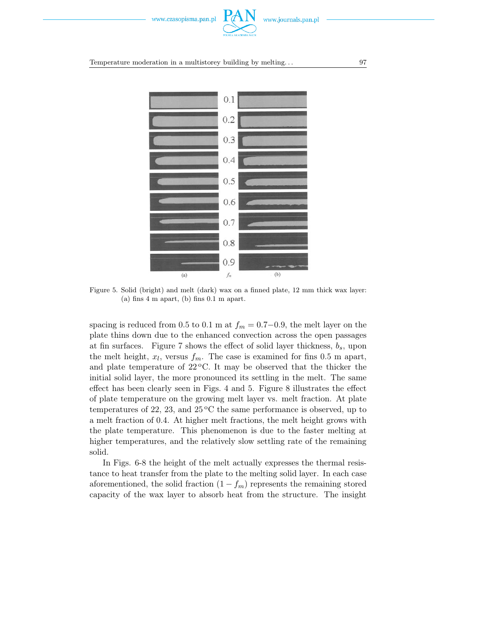

Temperature moderation in a multistorey building by melting... 97



Figure 5. Solid (bright) and melt (dark) wax on a finned plate, 12 mm thick wax layer: (a) fins 4 m apart, (b) fins 0.1 m apart.

spacing is reduced from 0.5 to 0.1 m at  $f_m = 0.7-0.9$ , the melt layer on the plate thins down due to the enhanced convection across the open passages at fin surfaces. Figure 7 shows the effect of solid layer thickness, b*s*, upon the melt height,  $x_l$ , versus  $f_m$ . The case is examined for fins 0.5 m apart, and plate temperature of  $22^{\circ}$ C. It may be observed that the thicker the initial solid layer, the more pronounced its settling in the melt. The same effect has been clearly seen in Figs. 4 and 5. Figure 8 illustrates the effect of plate temperature on the growing melt layer vs. melt fraction. At plate temperatures of 22, 23, and  $25^{\circ}$ C the same performance is observed, up to a melt fraction of 0.4. At higher melt fractions, the melt height grows with the plate temperature. This phenomenon is due to the faster melting at higher temperatures, and the relatively slow settling rate of the remaining solid.

In Figs. 6-8 the height of the melt actually expresses the thermal resistance to heat transfer from the plate to the melting solid layer. In each case aforementioned, the solid fraction  $(1 - f_m)$  represents the remaining stored capacity of the wax layer to absorb heat from the structure. The insight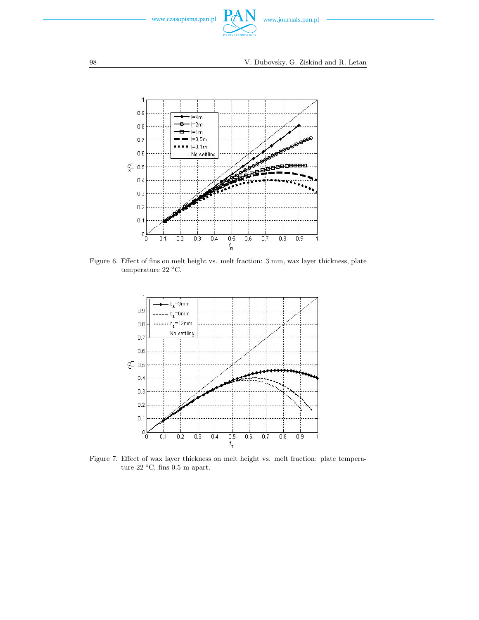



Figure 6. Effect of fins on melt height vs. melt fraction: 3 mm, wax layer thickness, plate temperature 22  $^{\rm o}{\rm C}.$ 



Figure 7. Effect of wax layer thickness on melt height vs. melt fraction: plate temperature 22  $^{\circ}$ C, fins 0.5 m apart.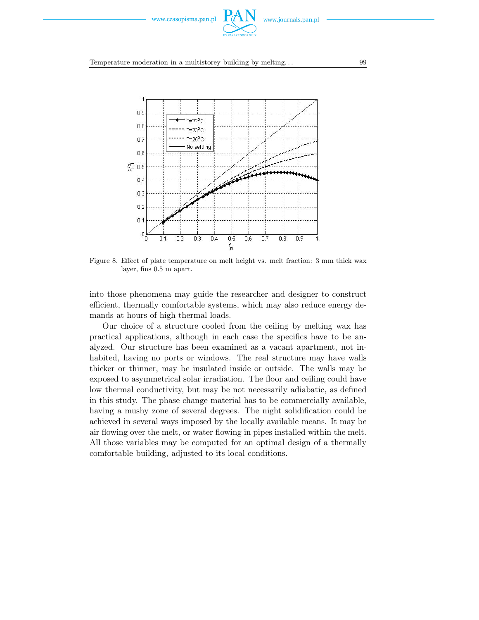

Temperature moderation in a multistorey building by melting... 99



Figure 8. Effect of plate temperature on melt height vs. melt fraction: 3 mm thick wax layer, fins 0.5 m apart.

into those phenomena may guide the researcher and designer to construct efficient, thermally comfortable systems, which may also reduce energy demands at hours of high thermal loads.

Our choice of a structure cooled from the ceiling by melting wax has practical applications, although in each case the specifics have to be analyzed. Our structure has been examined as a vacant apartment, not inhabited, having no ports or windows. The real structure may have walls thicker or thinner, may be insulated inside or outside. The walls may be exposed to asymmetrical solar irradiation. The floor and ceiling could have low thermal conductivity, but may be not necessarily adiabatic, as defined in this study. The phase change material has to be commercially available, having a mushy zone of several degrees. The night solidification could be achieved in several ways imposed by the locally available means. It may be air flowing over the melt, or water flowing in pipes installed within the melt. All those variables may be computed for an optimal design of a thermally comfortable building, adjusted to its local conditions.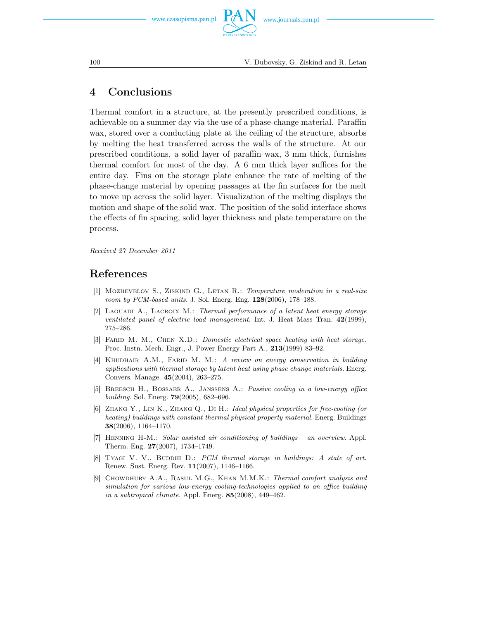

## 4 Conclusions

Thermal comfort in a structure, at the presently prescribed conditions, is achievable on a summer day via the use of a phase-change material. Paraffin wax, stored over a conducting plate at the ceiling of the structure, absorbs by melting the heat transferred across the walls of the structure. At our prescribed conditions, a solid layer of paraffin wax, 3 mm thick, furnishes thermal comfort for most of the day. A 6 mm thick layer suffices for the entire day. Fins on the storage plate enhance the rate of melting of the phase-change material by opening passages at the fin surfaces for the melt to move up across the solid layer. Visualization of the melting displays the motion and shape of the solid wax. The position of the solid interface shows the effects of fin spacing, solid layer thickness and plate temperature on the process.

*Received 27 December 2011*

## References

- [1] Mozhevelov S., Ziskind G., Letan R.: *Temperature moderation in a real-size room by PCM-based units*. J. Sol. Energ. Eng. 128(2006), 178–188.
- [2] Laouadi A., Lacroix M.: *Thermal performance of a latent heat energy storage ventilated panel of electric load management.* Int. J. Heat Mass Tran. 42(1999), 275–286.
- [3] Farid M. M., Chen X.D.: *Domestic electrical space heating with heat storage.* Proc. Instn. Mech. Engr., J. Power Energy Part A., 213(1999) 83–92.
- [4] Khudhair A.M., Farid M. M.: *A review on energy conservation in building applications with thermal storage by latent heat using phase change materials.* Energ. Convers. Manage. 45(2004), 263–275.
- [5] Breesch H., Bossaer A., Janssens A.: *Passive cooling in a low-energy office building*. Sol. Energ. 79(2005), 682–696.
- [6] Zhang Y., Lin K., Zhang Q., Di H.: *Ideal physical properties for free-cooling (or heating) buildings with constant thermal physical property material.* Energ. Buildings 38(2006), 1164–1170.
- [7] Henning H-M.: *Solar assisted air conditioning of buildings an overview*. Appl. Therm. Eng. 27(2007), 1734–1749.
- [8] Tyagi V. V., Buddhi D.: *PCM thermal storage in buildings: A state of art.* Renew. Sust. Energ. Rev. 11(2007), 1146–1166.
- [9] Chowdhury A.A., Rasul M.G., Khan M.M.K.: *Thermal comfort analysis and simulation for various low-energy cooling-technologies applied to an office building in a subtropical climate.* Appl. Energ. 85(2008), 449–462.